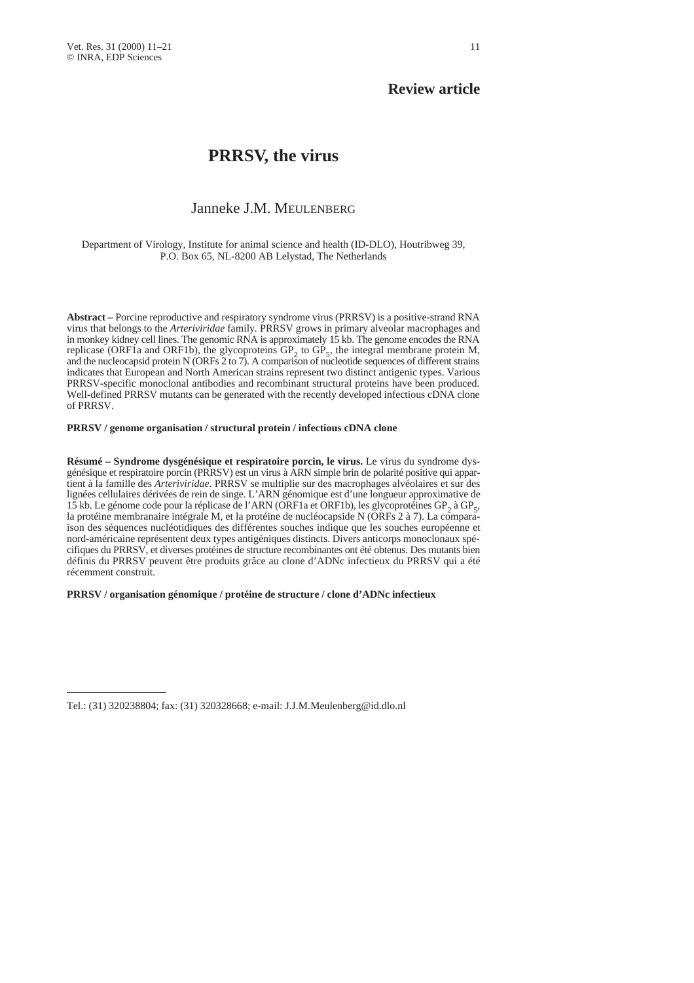## **Review article**

# **PRRSV, the virus**

### Janneke J.M. MEULENBERG

Department of Virology, Institute for animal science and health (ID-DLO), Houtribweg 39, P.O. Box 65, NL-8200 AB Lelystad, The Netherlands

**Abstract –** Porcine reproductive and respiratory syndrome virus (PRRSV) is a positive-strand RNA virus that belongs to the *Arteriviridae* family*.* PRRSV grows in primary alveolar macrophages and in monkey kidney cell lines. The genomic RNA is approximately 15 kb. The genome encodes the RNA replicase (ORF1a and ORF1b), the glycoproteins  $GP_2$  to  $GP_5$ , the integral membrane protein M, and the nucleocapsid protein N (ORFs 2 to 7). A comparison of nucleotide sequences of different strains indicates that European and North American strains represent two distinct antigenic types. Various PRRSV-specific monoclonal antibodies and recombinant structural proteins have been produced. Well-defined PRRSV mutants can be generated with the recently developed infectious cDNA clone of PRRSV.

### **PRRSV / genome organisation / structural protein / infectious cDNA clone**

**Résumé – Syndrome dysgénésique et respiratoire porcin, le virus.** Le virus du syndrome dysgénésique et respiratoire porcin (PRRSV) est un virus à ARN simple brin de polarité positive qui appartient à la famille des *Arteriviridae*. PRRSV se multiplie sur des macrophages alvéolaires et sur des lignées cellulaires dérivées de rein de singe. L'ARN génomique est d'une longueur approximative de 15 kb. Le génome code pour la réplicase de l'ARN (ORF1a et ORF1b), les glycoprotéines GP<sub>2</sub> à GP<sub>5</sub>, la protéine membranaire intégrale M, et la protéine de nucléocapside N (ORFs 2 à 7). La comparaison des séquences nucléotidiques des différentes souches indique que les souches européenne et nord-américaine représentent deux types antigéniques distincts. Divers anticorps monoclonaux spécifiques du PRRSV, et diverses protéines de structure recombinantes ont été obtenus. Des mutants bien définis du PRRSV peuvent être produits grâce au clone d'ADNc infectieux du PRRSV qui a été récemment construit.

### **PRRSV / organisation génomique / protéine de structure / clone d'ADNc infectieux**

Tel.: (31) 320238804; fax: (31) 320328668; e-mail: J.J.M.Meulenberg@id.dlo.nl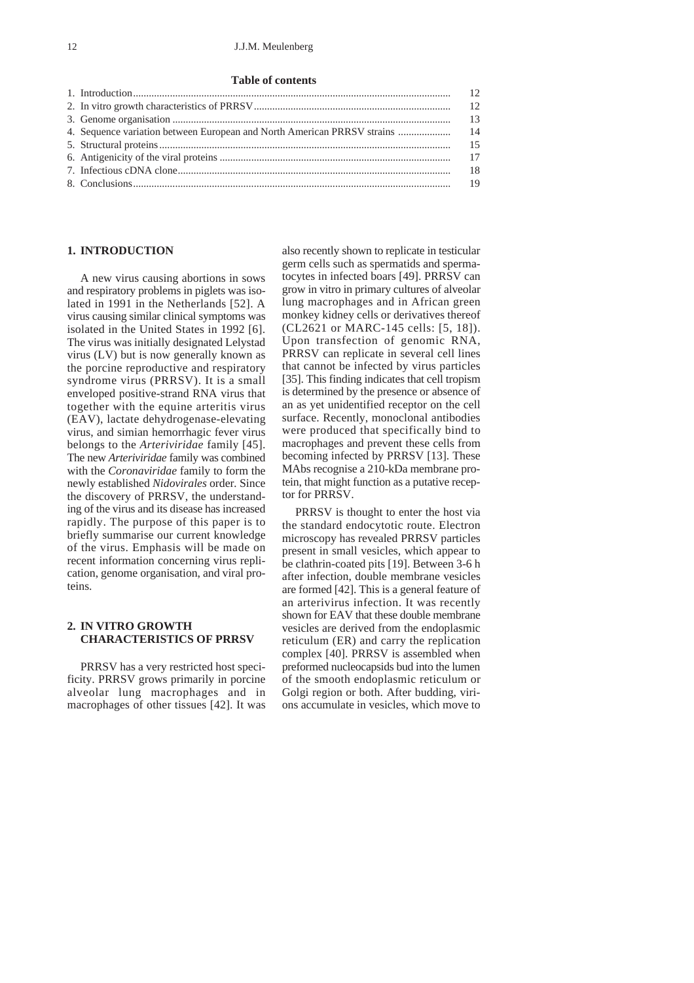### 12 J.J.M. Meulenberg

#### **Table of contents**

| 13   |
|------|
|      |
|      |
|      |
|      |
| - 19 |
|      |

### **1. INTRODUCTION**

A new virus causing abortions in sows and respiratory problems in piglets was isolated in 1991 in the Netherlands [52]. A virus causing similar clinical symptoms was isolated in the United States in 1992 [6]. The virus was initially designated Lelystad virus (LV) but is now generally known as the porcine reproductive and respiratory syndrome virus (PRRSV). It is a small enveloped positive-strand RNA virus that together with the equine arteritis virus (EAV), lactate dehydrogenase-elevating virus, and simian hemorrhagic fever virus belongs to the *Arteriviridae* family [45]. The new *Arteriviridae* family was combined with the *Coronaviridae* family to form the newly established *Nidovirales* order*.* Since the discovery of PRRSV, the understanding of the virus and its disease has increased rapidly. The purpose of this paper is to briefly summarise our current knowledge of the virus. Emphasis will be made on recent information concerning virus replication, genome organisation, and viral proteins.

### **2. IN VITRO GROWTH CHARACTERISTICS OF PRRSV**

PRRSV has a very restricted host specificity. PRRSV grows primarily in porcine alveolar lung macrophages and in macrophages of other tissues [42]. It was

also recently shown to replicate in testicular germ cells such as spermatids and spermatocytes in infected boars [49]. PRRSV can grow in vitro in primary cultures of alveolar lung macrophages and in African green monkey kidney cells or derivatives thereof (CL2621 or MARC-145 cells: [5, 18]). Upon transfection of genomic RNA, PRRSV can replicate in several cell lines that cannot be infected by virus particles [35]. This finding indicates that cell tropism is determined by the presence or absence of an as yet unidentified receptor on the cell surface. Recently, monoclonal antibodies were produced that specifically bind to macrophages and prevent these cells from becoming infected by PRRSV [13]. These MAbs recognise a 210-kDa membrane protein, that might function as a putative receptor for PRRSV.

PRRSV is thought to enter the host via the standard endocytotic route. Electron microscopy has revealed PRRSV particles present in small vesicles, which appear to be clathrin-coated pits [19]. Between 3-6 h after infection, double membrane vesicles are formed [42]. This is a general feature of an arterivirus infection. It was recently shown for EAV that these double membrane vesicles are derived from the endoplasmic reticulum (ER) and carry the replication complex [40]. PRRSV is assembled when preformed nucleocapsids bud into the lumen of the smooth endoplasmic reticulum or Golgi region or both. After budding, virions accumulate in vesicles, which move to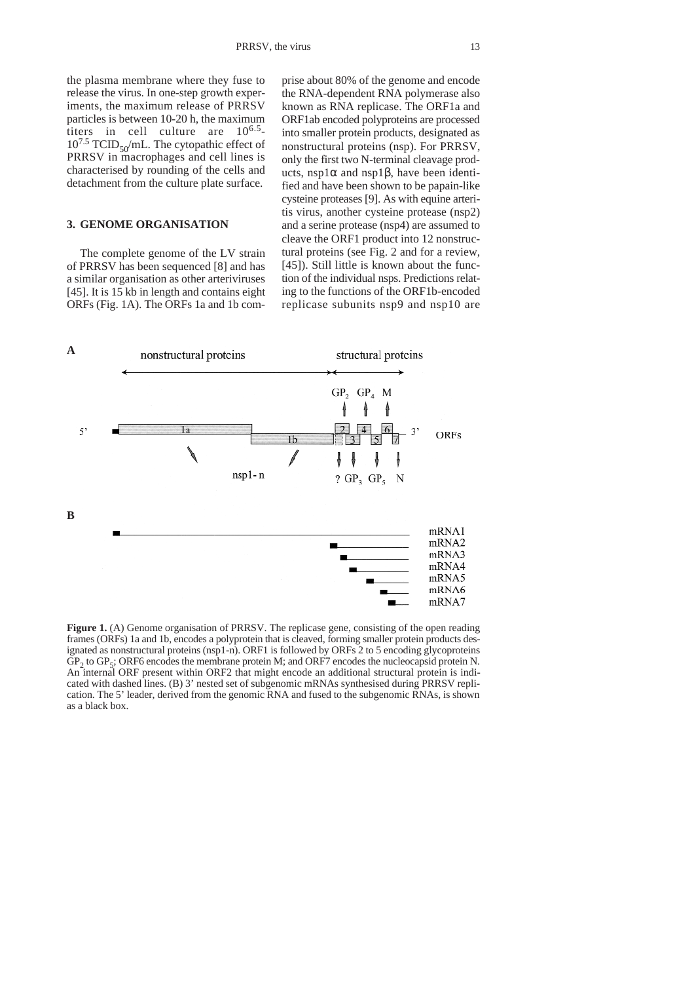### **3. GENOME ORGANISATION**

The complete genome of the LV strain of PRRSV has been sequenced [8] and has a similar organisation as other arteriviruses [45]. It is 15 kb in length and contains eight ORFs (Fig. 1A). The ORFs 1a and 1b comprise about 80% of the genome and encode the RNA-dependent RNA polymerase also known as RNA replicase. The ORF1a and ORF1ab encoded polyproteins are processed into smaller protein products, designated as nonstructural proteins (nsp). For PRRSV, only the first two N-terminal cleavage products, nsp1α and nsp1β, have been identified and have been shown to be papain-like cysteine proteases [9]. As with equine arteritis virus, another cysteine protease (nsp2) and a serine protease (nsp4) are assumed to cleave the ORF1 product into 12 nonstructural proteins (see Fig. 2 and for a review, [45]). Still little is known about the function of the individual nsps. Predictions relating to the functions of the ORF1b-encoded replicase subunits nsp9 and nsp10 are



**Figure 1.** (A) Genome organisation of PRRSV. The replicase gene, consisting of the open reading frames (ORFs) 1a and 1b, encodes a polyprotein that is cleaved, forming smaller protein products designated as nonstructural proteins (nsp1-n). ORF1 is followed by ORFs 2 to 5 encoding glycoproteins  $\text{GP}_2$  to  $\text{GP}_5$ ; ORF6 encodes the membrane protein M; and ORF7 encodes the nucleocapsid protein N. An internal ORF present within ORF2 that might encode an additional structural protein is indicated with dashed lines. (B) 3' nested set of subgenomic mRNAs synthesised during PRRSV replication. The 5' leader, derived from the genomic RNA and fused to the subgenomic RNAs, is shown as a black box.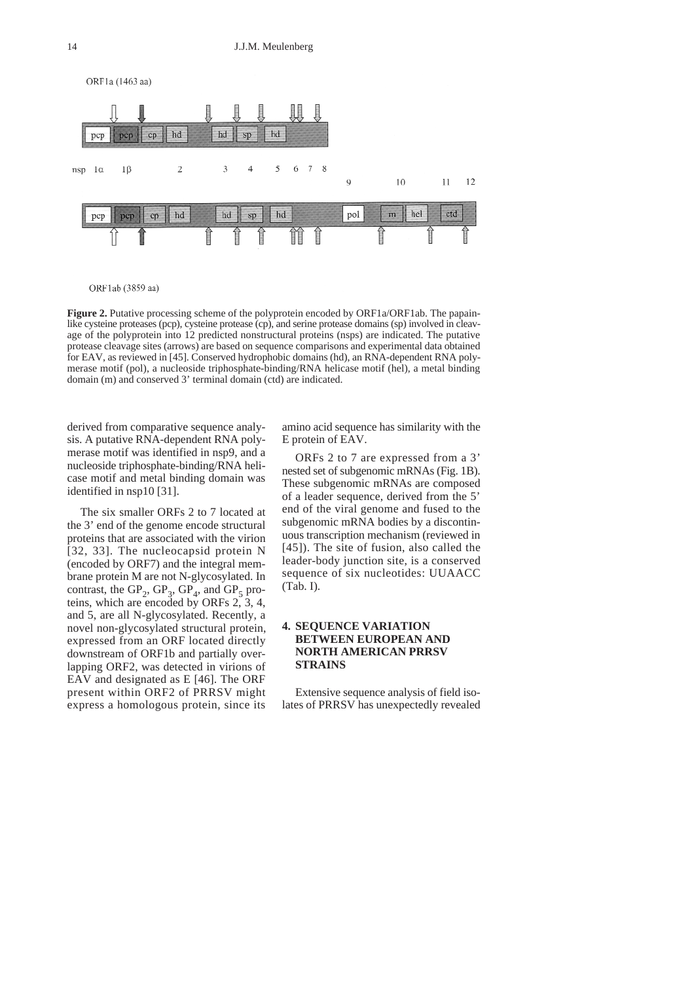

ORF1ab (3859 aa)

**Figure 2.** Putative processing scheme of the polyprotein encoded by ORF1a/ORF1ab. The papainlike cysteine proteases (pcp), cysteine protease (cp), and serine protease domains (sp) involved in cleavage of the polyprotein into 12 predicted nonstructural proteins (nsps) are indicated. The putative protease cleavage sites (arrows) are based on sequence comparisons and experimental data obtained for EAV, as reviewed in [45]. Conserved hydrophobic domains (hd), an RNA-dependent RNA polymerase motif (pol), a nucleoside triphosphate-binding/RNA helicase motif (hel), a metal binding domain (m) and conserved 3' terminal domain (ctd) are indicated.

derived from comparative sequence analysis. A putative RNA-dependent RNA polymerase motif was identified in nsp9, and a nucleoside triphosphate-binding/RNA helicase motif and metal binding domain was identified in nsp10 [31].

The six smaller ORFs 2 to 7 located at the 3' end of the genome encode structural proteins that are associated with the virion [32, 33]. The nucleocapsid protein N (encoded by ORF7) and the integral membrane protein M are not N-glycosylated. In contrast, the  $GP_2$ ,  $GP_3$ ,  $GP_4$ , and  $GP_5$  proteins, which are encoded by ORFs  $2, 3, 4$ , and 5, are all N-glycosylated. Recently, a novel non-glycosylated structural protein, expressed from an ORF located directly downstream of ORF1b and partially overlapping ORF2, was detected in virions of EAV and designated as E [46]. The ORF present within ORF2 of PRRSV might express a homologous protein, since its

amino acid sequence has similarity with the E protein of EAV.

ORFs 2 to 7 are expressed from a 3' nested set of subgenomic mRNAs (Fig. 1B). These subgenomic mRNAs are composed of a leader sequence, derived from the 5' end of the viral genome and fused to the subgenomic mRNA bodies by a discontinuous transcription mechanism (reviewed in [45]). The site of fusion, also called the leader-body junction site, is a conserved sequence of six nucleotides: UUAACC (Tab. I).

### **4. SEQUENCE VARIATION BETWEEN EUROPEAN AND NORTH AMERICAN PRRSV STRAINS**

Extensive sequence analysis of field isolates of PRRSV has unexpectedly revealed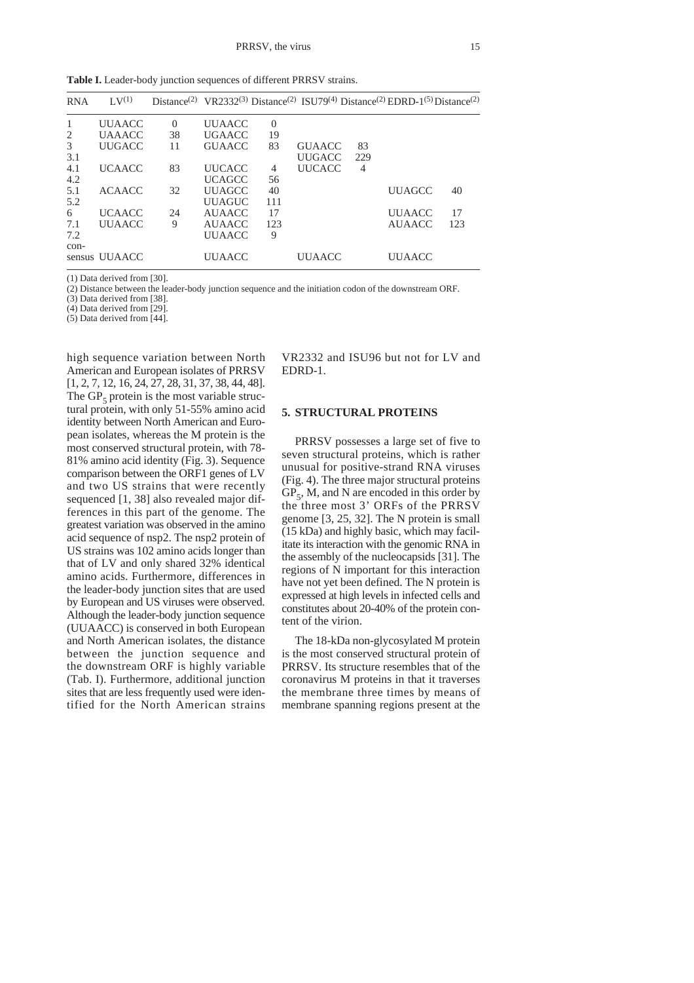Table I. Leader-body junction sequences of different PRRSV strains.

| <b>RNA</b> | $\rm{L}V^{(1)}$ |          |               |          |               |     | Distance <sup>(2)</sup> VR2332 <sup>(3)</sup> Distance <sup>(2)</sup> ISU79 <sup>(4)</sup> Distance <sup>(2)</sup> EDRD-1 <sup>(5)</sup> Distance <sup>(2)</sup> |     |
|------------|-----------------|----------|---------------|----------|---------------|-----|------------------------------------------------------------------------------------------------------------------------------------------------------------------|-----|
| 1          | <b>UUAACC</b>   | $\Omega$ | <b>UUAACC</b> | $\Omega$ |               |     |                                                                                                                                                                  |     |
| 2          | <b>UAAACC</b>   | 38       | <b>UGAACC</b> | 19       |               |     |                                                                                                                                                                  |     |
| 3          | <b>UUGACC</b>   | 11       | <b>GUAACC</b> | 83       | <b>GUAACC</b> | 83  |                                                                                                                                                                  |     |
| 3.1        |                 |          |               |          | <b>UUGACC</b> | 229 |                                                                                                                                                                  |     |
| 4.1        | <b>UCAACC</b>   | 83       | <b>UUCACC</b> | 4        | <b>UUCACC</b> | 4   |                                                                                                                                                                  |     |
| 4.2        |                 |          | <b>UCAGCC</b> | 56       |               |     |                                                                                                                                                                  |     |
| 5.1        | <b>ACAACC</b>   | 32       | <b>UUAGCC</b> | 40       |               |     | <b>UUAGCC</b>                                                                                                                                                    | 40  |
| 5.2        |                 |          | <b>UUAGUC</b> | 111      |               |     |                                                                                                                                                                  |     |
| 6          | <b>UCAACC</b>   | 24       | AUAACC        | 17       |               |     | <b>UUAACC</b>                                                                                                                                                    | 17  |
| 7.1        | <b>UUAACC</b>   | 9        | AUAACC        | 123      |               |     | <b>AUAACC</b>                                                                                                                                                    | 123 |
| 7.2        |                 |          | <b>UUAACC</b> | 9        |               |     |                                                                                                                                                                  |     |
| con-       |                 |          |               |          |               |     |                                                                                                                                                                  |     |
|            | sensus UUAACC   |          | <b>UUAACC</b> |          | UUAACC        |     | <b>UUAACC</b>                                                                                                                                                    |     |

(1) Data derived from [30].

(2) Distance between the leader-body junction sequence and the initiation codon of the downstream ORF.

(3) Data derived from [38].

(4) Data derived from [29].

(5) Data derived from [44].

high sequence variation between North American and European isolates of PRRSV [1, 2, 7, 12, 16, 24, 27, 28, 31, 37, 38, 44, 48]. The  $GP<sub>s</sub>$  protein is the most variable structural protein, with only 51-55% amino acid identity between North American and European isolates, whereas the M protein is the most conserved structural protein, with 78- 81% amino acid identity (Fig. 3). Sequence comparison between the ORF1 genes of LV and two US strains that were recently sequenced [1, 38] also revealed major differences in this part of the genome. The greatest variation was observed in the amino acid sequence of nsp2. The nsp2 protein of US strains was 102 amino acids longer than that of LV and only shared 32% identical amino acids. Furthermore, differences in the leader-body junction sites that are used by European and US viruses were observed. Although the leader-body junction sequence (UUAACC) is conserved in both European and North American isolates, the distance between the junction sequence and the downstream ORF is highly variable (Tab. I). Furthermore, additional junction sites that are less frequently used were identified for the North American strains

VR2332 and ISU96 but not for LV and EDRD-1.

#### **5. STRUCTURAL PROTEINS**

PRRSV possesses a large set of five to seven structural proteins, which is rather unusual for positive-strand RNA viruses (Fig. 4). The three major structural proteins  $GP<sub>5</sub>$ , M, and N are encoded in this order by the three most 3' ORFs of the PRRSV genome [3, 25, 32]. The N protein is small (15 kDa) and highly basic, which may facilitate its interaction with the genomic RNA in the assembly of the nucleocapsids [31]. The regions of N important for this interaction have not yet been defined. The N protein is expressed at high levels in infected cells and constitutes about 20-40% of the protein content of the virion.

The 18-kDa non-glycosylated M protein is the most conserved structural protein of PRRSV. Its structure resembles that of the coronavirus M proteins in that it traverses the membrane three times by means of membrane spanning regions present at the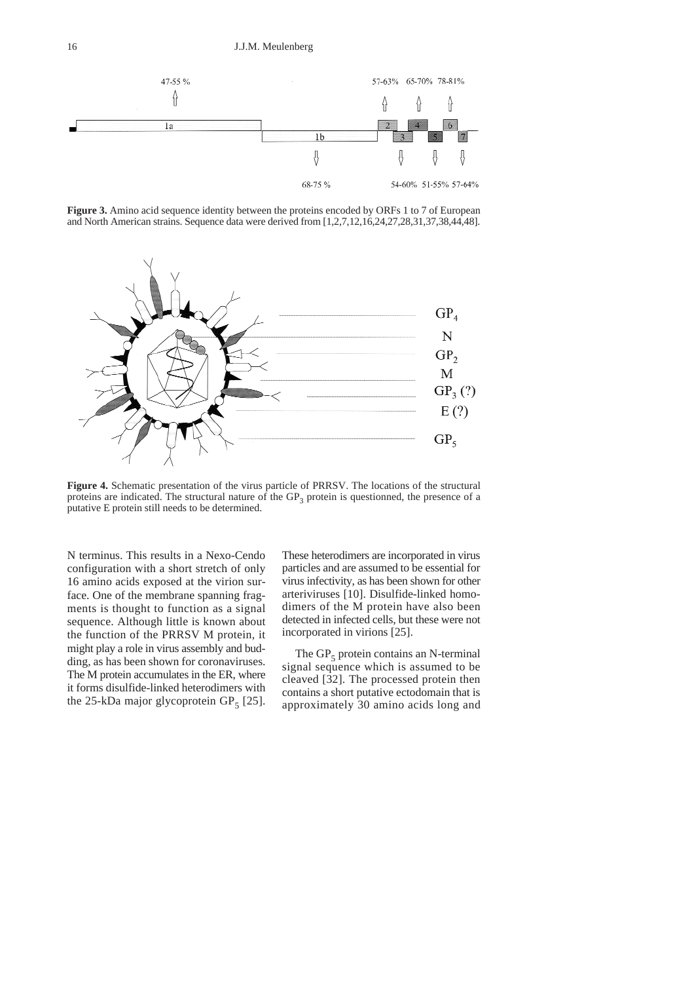

**Figure 3.** Amino acid sequence identity between the proteins encoded by ORFs 1 to 7 of European and North American strains. Sequence data were derived from [1,2,7,12,16,24,27,28,31,37,38,44,48].



**Figure 4.** Schematic presentation of the virus particle of PRRSV. The locations of the structural proteins are indicated. The structural nature of the  $GP<sub>3</sub>$  protein is questionned, the presence of a putative E protein still needs to be determined.

N terminus. This results in a Nexo-Cendo configuration with a short stretch of only 16 amino acids exposed at the virion surface. One of the membrane spanning fragments is thought to function as a signal sequence. Although little is known about the function of the PRRSV M protein, it might play a role in virus assembly and budding, as has been shown for coronaviruses. The M protein accumulates in the ER, where it forms disulfide-linked heterodimers with the 25-kDa major glycoprotein  $GP<sub>5</sub>$  [25]. These heterodimers are incorporated in virus particles and are assumed to be essential for virus infectivity, as has been shown for other arteriviruses [10]. Disulfide-linked homodimers of the M protein have also been detected in infected cells, but these were not incorporated in virions [25].

The  $GP_5$  protein contains an N-terminal signal sequence which is assumed to be cleaved [32]. The processed protein then contains a short putative ectodomain that is approximately 30 amino acids long and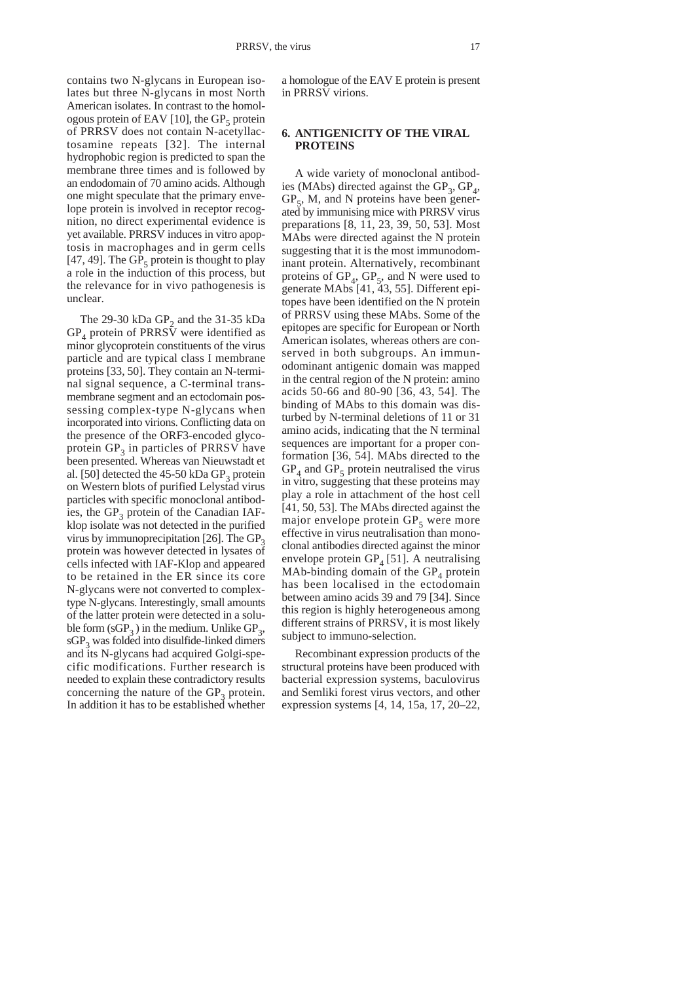contains two N-glycans in European isolates but three N-glycans in most North American isolates. In contrast to the homologous protein of EAV [10], the  $GP<sub>5</sub>$  protein of PRRSV does not contain N-acetyllactosamine repeats [32]. The internal hydrophobic region is predicted to span the membrane three times and is followed by an endodomain of 70 amino acids. Although one might speculate that the primary envelope protein is involved in receptor recognition, no direct experimental evidence is yet available. PRRSV induces in vitro apoptosis in macrophages and in germ cells [47, 49]. The  $GP<sub>5</sub>$  protein is thought to play a role in the induction of this process, but the relevance for in vivo pathogenesis is unclear.

The 29-30 kDa  $GP_2$  and the 31-35 kDa  $GP_4$  protein of PRRSV were identified as minor glycoprotein constituents of the virus particle and are typical class I membrane proteins [33, 50]. They contain an N-terminal signal sequence, a C-terminal transmembrane segment and an ectodomain possessing complex-type N-glycans when incorporated into virions. Conflicting data on the presence of the ORF3-encoded glycoprotein  $GP_3$  in particles of PRRSV have been presented. Whereas van Nieuwstadt et al. [50] detected the  $45-50$  kDa  $GP<sub>3</sub>$  protein on Western blots of purified Lelystad virus particles with specific monoclonal antibodies, the  $GP_3$  protein of the Canadian IAFklop isolate was not detected in the purified virus by immunoprecipitation [26]. The  $GP_3$ protein was however detected in lysates of cells infected with IAF-Klop and appeared to be retained in the ER since its core N-glycans were not converted to complextype N-glycans. Interestingly, small amounts of the latter protein were detected in a soluble form  $(sGP_3)$  in the medium. Unlike  $GP_3$ ,  $sGP<sub>3</sub>$  was folded into disulfide-linked dimers and its N-glycans had acquired Golgi-specific modifications. Further research is needed to explain these contradictory results concerning the nature of the  $GP_3$  protein. In addition it has to be established whether

a homologue of the EAV E protein is present in PRRSV virions.

### **6. ANTIGENICITY OF THE VIRAL PROTEINS**

A wide variety of monoclonal antibodies (MAbs) directed against the  $GP_3$ ,  $GP_4$ ,  $GP<sub>5</sub>$ , M, and N proteins have been generated by immunising mice with PRRSV virus preparations [8, 11, 23, 39, 50, 53]. Most MAbs were directed against the N protein suggesting that it is the most immunodominant protein. Alternatively, recombinant proteins of  $GP<sub>4</sub>$ ,  $GP<sub>5</sub>$ , and N were used to generate MAbs [41, 43, 55]. Different epitopes have been identified on the N protein of PRRSV using these MAbs. Some of the epitopes are specific for European or North American isolates, whereas others are conserved in both subgroups. An immunodominant antigenic domain was mapped in the central region of the N protein: amino acids 50-66 and 80-90 [36, 43, 54]. The binding of MAbs to this domain was disturbed by N-terminal deletions of 11 or 31 amino acids, indicating that the N terminal sequences are important for a proper conformation [36, 54]. MAbs directed to the  $GP_4$  and  $GP_5$  protein neutralised the virus in vitro, suggesting that these proteins may play a role in attachment of the host cell [41, 50, 53]. The MAbs directed against the major envelope protein  $GP<sub>5</sub>$  were more effective in virus neutralisation than monoclonal antibodies directed against the minor envelope protein  $GP_4$  [51]. A neutralising MAb-binding domain of the  $GP_4$  protein has been localised in the ectodomain between amino acids 39 and 79 [34]. Since this region is highly heterogeneous among different strains of PRRSV, it is most likely subject to immuno-selection.

Recombinant expression products of the structural proteins have been produced with bacterial expression systems, baculovirus and Semliki forest virus vectors, and other expression systems [4, 14, 15a, 17, 20–22,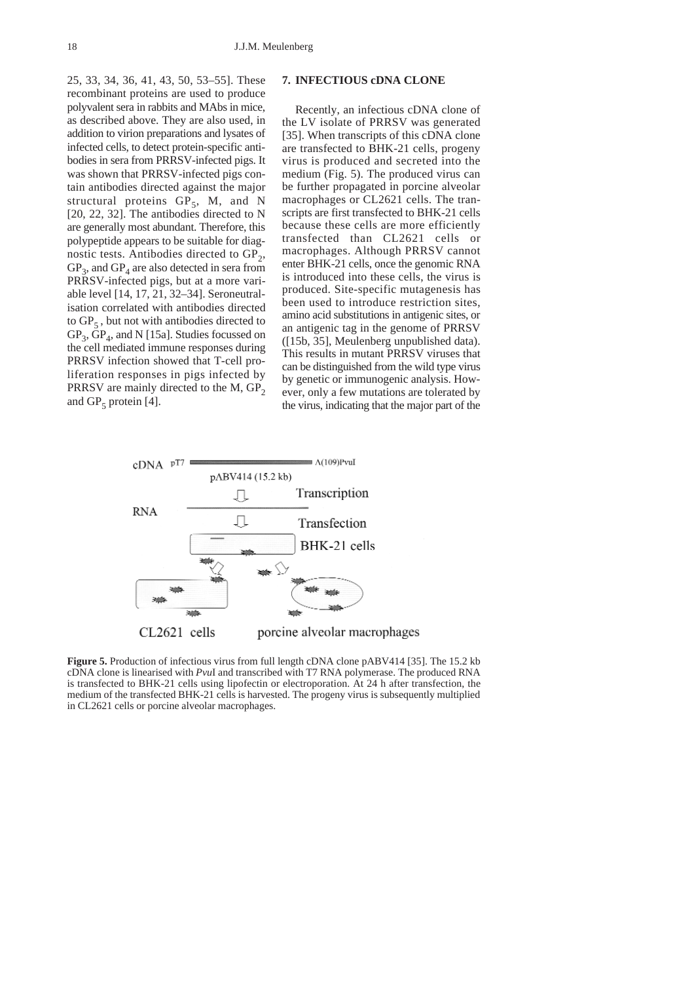25, 33, 34, 36, 41, 43, 50, 53–55]. These recombinant proteins are used to produce polyvalent sera in rabbits and MAbs in mice, as described above. They are also used, in addition to virion preparations and lysates of infected cells, to detect protein-specific antibodies in sera from PRRSV-infected pigs. It was shown that PRRSV-infected pigs contain antibodies directed against the major structural proteins  $GP_5$ , M, and N [20, 22, 32]. The antibodies directed to N are generally most abundant. Therefore, this polypeptide appears to be suitable for diagnostic tests. Antibodies directed to  $GP<sub>2</sub>$ ,  $GP_3$ , and  $GP_4$  are also detected in sera from PRRSV-infected pigs, but at a more variable level [14, 17, 21, 32–34]. Seroneutralisation correlated with antibodies directed to  $GP_5$ , but not with antibodies directed to  $GP_3$ ,  $\overline{GP}_4$ , and N [15a]. Studies focussed on the cell mediated immune responses during PRRSV infection showed that T-cell proliferation responses in pigs infected by PRRSV are mainly directed to the M,  $GP<sub>2</sub>$ and  $GP_5$  protein [4].

### **7. INFECTIOUS cDNA CLONE**

Recently, an infectious cDNA clone of the LV isolate of PRRSV was generated [35]. When transcripts of this cDNA clone are transfected to BHK-21 cells, progeny virus is produced and secreted into the medium (Fig. 5). The produced virus can be further propagated in porcine alveolar macrophages or CL2621 cells. The transcripts are first transfected to BHK-21 cells because these cells are more efficiently transfected than CL2621 cells or macrophages. Although PRRSV cannot enter BHK-21 cells, once the genomic RNA is introduced into these cells, the virus is produced. Site-specific mutagenesis has been used to introduce restriction sites, amino acid substitutions in antigenic sites, or an antigenic tag in the genome of PRRSV ([15b, 35], Meulenberg unpublished data). This results in mutant PRRSV viruses that can be distinguished from the wild type virus by genetic or immunogenic analysis. However, only a few mutations are tolerated by the virus, indicating that the major part of the



**Figure 5.** Production of infectious virus from full length cDNA clone pABV414 [35]. The 15.2 kb cDNA clone is linearised with *Pvu*I and transcribed with T7 RNA polymerase. The produced RNA is transfected to BHK-21 cells using lipofectin or electroporation. At 24 h after transfection, the medium of the transfected BHK-21 cells is harvested. The progeny virus is subsequently multiplied in CL2621 cells or porcine alveolar macrophages.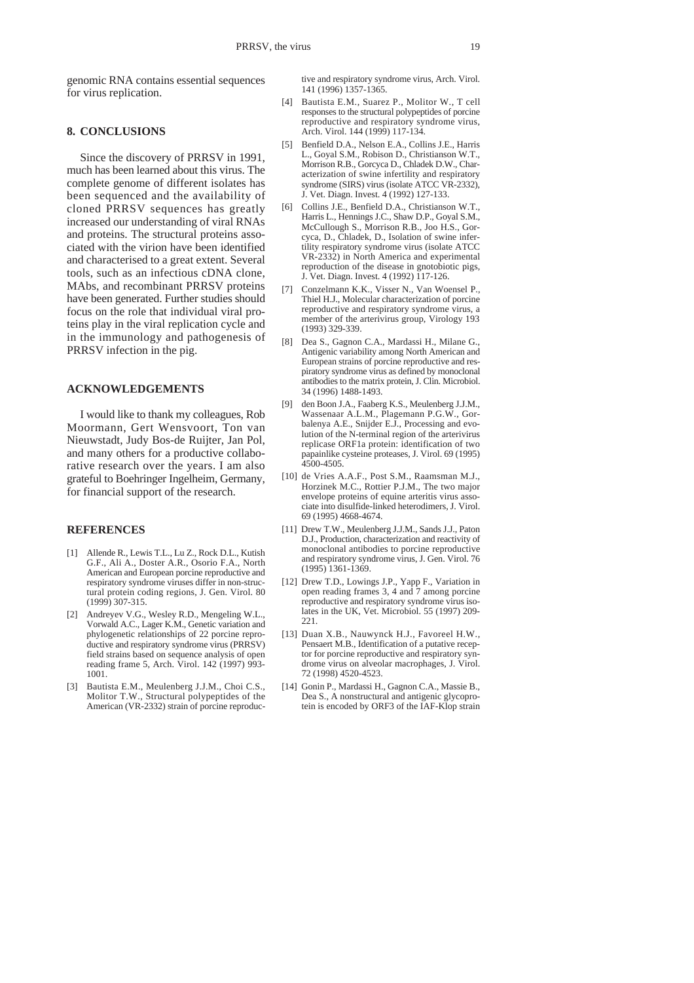genomic RNA contains essential sequences for virus replication.

### **8. CONCLUSIONS**

Since the discovery of PRRSV in 1991, much has been learned about this virus. The complete genome of different isolates has been sequenced and the availability of cloned PRRSV sequences has greatly increased our understanding of viral RNAs and proteins. The structural proteins associated with the virion have been identified and characterised to a great extent. Several tools, such as an infectious cDNA clone, MAbs, and recombinant PRRSV proteins have been generated. Further studies should focus on the role that individual viral proteins play in the viral replication cycle and in the immunology and pathogenesis of PRRSV infection in the pig.

### **ACKNOWLEDGEMENTS**

I would like to thank my colleagues, Rob Moormann, Gert Wensvoort, Ton van Nieuwstadt, Judy Bos-de Ruijter, Jan Pol, and many others for a productive collaborative research over the years. I am also grateful to Boehringer Ingelheim, Germany, for financial support of the research.

#### **REFERENCES**

- [1] Allende R., Lewis T.L., Lu Z., Rock D.L., Kutish G.F., Ali A., Doster A.R., Osorio F.A., North American and European porcine reproductive and respiratory syndrome viruses differ in non-structural protein coding regions, J. Gen. Virol. 80 (1999) 307-315.
- [2] Andreyev V.G., Wesley R.D., Mengeling W.L., Vorwald A.C., Lager K.M., Genetic variation and phylogenetic relationships of 22 porcine reproductive and respiratory syndrome virus (PRRSV) field strains based on sequence analysis of open reading frame 5, Arch. Virol. 142 (1997) 993- 1001.
- [3] Bautista E.M., Meulenberg J.J.M., Choi C.S., Molitor T.W., Structural polypeptides of the American (VR-2332) strain of porcine reproduc-

tive and respiratory syndrome virus, Arch. Virol. 141 (1996) 1357-1365.

- [4] Bautista E.M., Suarez P., Molitor W., T cell responses to the structural polypeptides of porcine reproductive and respiratory syndrome virus, Arch. Virol. 144 (1999) 117-134.
- [5] Benfield D.A., Nelson E.A., Collins J.E., Harris L., Goyal S.M., Robison D., Christianson W.T., Morrison R.B., Gorcyca D., Chladek D.W., Characterization of swine infertility and respiratory syndrome (SIRS) virus (isolate ATCC VR-2332), J. Vet. Diagn. Invest. 4 (1992) 127-133.
- [6] Collins J.E., Benfield D.A., Christianson W.T., Harris L., Hennings J.C., Shaw D.P., Goyal S.M., McCullough S., Morrison R.B., Joo H.S., Gorcyca, D., Chladek, D., Isolation of swine infertility respiratory syndrome virus (isolate ATCC VR-2332) in North America and experimental reproduction of the disease in gnotobiotic pigs, J. Vet. Diagn. Invest. 4 (1992) 117-126.
- [7] Conzelmann K.K., Visser N., Van Woensel P., Thiel H.J., Molecular characterization of porcine reproductive and respiratory syndrome virus, a member of the arterivirus group, Virology 193 (1993) 329-339.
- [8] Dea S., Gagnon C.A., Mardassi H., Milane G. Antigenic variability among North American and European strains of porcine reproductive and respiratory syndrome virus as defined by monoclonal antibodies to the matrix protein, J. Clin. Microbiol. 34 (1996) 1488-1493.
- [9] den Boon J.A., Faaberg K.S., Meulenberg J.J.M., Wassenaar A.L.M., Plagemann P.G.W., Gorbalenya A.E., Snijder E.J., Processing and evolution of the N-terminal region of the arterivirus replicase ORF1a protein: identification of two papainlike cysteine proteases, J. Virol. 69 (1995) 4500-4505.
- [10] de Vries A.A.F., Post S.M., Raamsman M.J., Horzinek M.C., Rottier P.J.M., The two major envelope proteins of equine arteritis virus associate into disulfide-linked heterodimers, J. Virol. 69 (1995) 4668-4674.
- [11] Drew T.W., Meulenberg J.J.M., Sands J.J., Paton D.J., Production, characterization and reactivity of monoclonal antibodies to porcine reproductive and respiratory syndrome virus, J. Gen. Virol. 76 (1995) 1361-1369.
- [12] Drew T.D., Lowings J.P., Yapp F., Variation in open reading frames 3, 4 and 7 among porcine reproductive and respiratory syndrome virus isolates in the UK, Vet. Microbiol. 55 (1997) 209- 221.
- [13] Duan X.B., Nauwynck H.J., Favoreel H.W., Pensaert M.B., Identification of a putative receptor for porcine reproductive and respiratory syndrome virus on alveolar macrophages, J. Virol. 72 (1998) 4520-4523.
- [14] Gonin P., Mardassi H., Gagnon C.A., Massie B., Dea S., A nonstructural and antigenic glycoprotein is encoded by ORF3 of the IAF-Klop strain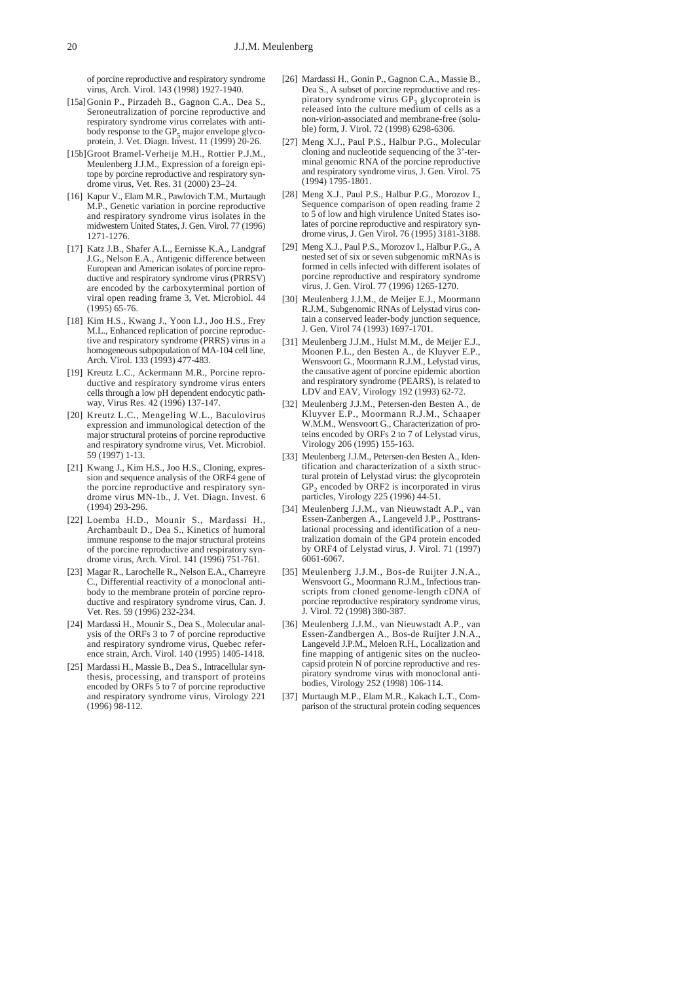of porcine reproductive and respiratory syndrome virus, Arch. Virol. 143 (1998) 1927-1940.

- [15a]Gonin P., Pirzadeh B., Gagnon C.A., Dea S. Seroneutralization of porcine reproductive and respiratory syndrome virus correlates with antibody response to the  $GP_5$  major envelope glycoprotein, J. Vet. Diagn. Invest. 11 (1999) 20-26.
- [15b]Groot Bramel-Verheije M.H., Rottier P.J.M., Meulenberg J.J.M., Expression of a foreign epitope by porcine reproductive and respiratory syndrome virus, Vet. Res. 31 (2000) 23–24.
- [16] Kapur V., Elam M.R., Pawlovich T.M., Murtaugh M.P., Genetic variation in porcine reproductive and respiratory syndrome virus isolates in the midwestern United States, J. Gen. Virol. 77 (1996) 1271-1276.
- [17] Katz J.B., Shafer A.L., Eernisse K.A., Landgraf J.G., Nelson E.A., Antigenic difference between European and American isolates of porcine reproductive and respiratory syndrome virus (PRRSV) are encoded by the carboxyterminal portion of viral open reading frame 3, Vet. Microbiol. 44 (1995) 65-76.
- [18] Kim H.S., Kwang J., Yoon I.J., Joo H.S., Frey M.L., Enhanced replication of porcine reproductive and respiratory syndrome (PRRS) virus in a homogeneous subpopulation of MA-104 cell line, Arch. Virol. 133 (1993) 477-483.
- [19] Kreutz L.C., Ackermann M.R., Porcine reproductive and respiratory syndrome virus enters cells through a low pH dependent endocytic pathway, Virus Res. 42 (1996) 137-147.
- [20] Kreutz L.C., Mengeling W.L., Baculovirus expression and immunological detection of the major structural proteins of porcine reproductive and respiratory syndrome virus, Vet. Microbiol. 59 (1997) 1-13.
- [21] Kwang J., Kim H.S., Joo H.S., Cloning, expression and sequence analysis of the ORF4 gene of the porcine reproductive and respiratory syndrome virus MN-1b., J. Vet. Diagn. Invest. 6 (1994) 293-296.
- [22] Loemba H.D., Mounir S., Mardassi H., Archambault D., Dea S., Kinetics of humoral immune response to the major structural proteins of the porcine reproductive and respiratory syndrome virus, Arch. Virol. 141 (1996) 751-761.
- [23] Magar R., Larochelle R., Nelson E.A., Charreyre C., Differential reactivity of a monoclonal antibody to the membrane protein of porcine reproductive and respiratory syndrome virus, Can. J. Vet. Res. 59 (1996) 232-234.
- [24] Mardassi H., Mounir S., Dea S., Molecular analysis of the ORFs 3 to 7 of porcine reproductive and respiratory syndrome virus, Quebec reference strain, Arch. Virol. 140 (1995) 1405-1418.
- [25] Mardassi H., Massie B., Dea S., Intracellular synthesis, processing, and transport of proteins encoded by ORFs 5 to 7 of porcine reproductive and respiratory syndrome virus, Virology 221 (1996) 98-112.
- [26] Mardassi H., Gonin P., Gagnon C.A., Massie B., Dea S., A subset of porcine reproductive and respiratory syndrome virus  $GP_3$  glycoprotein is<br>released into the culture medium of cells as a non-virion-associated and membrane-free (soluble) form, J. Virol. 72 (1998) 6298-6306.
- [27] Meng X.J., Paul P.S., Halbur P.G., Molecular cloning and nucleotide sequencing of the 3'-terminal genomic RNA of the porcine reproductive and respiratory syndrome virus, J. Gen. Virol. 75 (1994) 1795-1801.
- [28] Meng X.J., Paul P.S., Halbur P.G., Morozov I., Sequence comparison of open reading frame 2 to 5 of low and high virulence United States isolates of porcine reproductive and respiratory syndrome virus, J. Gen Virol. 76 (1995) 3181-3188.
- [29] Meng X.J., Paul P.S., Morozov I., Halbur P.G., A nested set of six or seven subgenomic mRNAs is formed in cells infected with different isolates of porcine reproductive and respiratory syndrome virus, J. Gen. Virol. 77 (1996) 1265-1270.
- [30] Meulenberg J.J.M., de Meijer E.J., Moormann R.J.M., Subgenomic RNAs of Lelystad virus contain a conserved leader-body junction sequence, J. Gen. Virol 74 (1993) 1697-1701.
- [31] Meulenberg J.J.M., Hulst M.M., de Meijer E.J., Moonen P.L., den Besten A., de Kluyver E.P., Wensvoort G., Moormann R.J.M., Lelystad virus, the causative agent of porcine epidemic abortion and respiratory syndrome (PEARS), is related to LDV and EAV, Virology 192 (1993) 62-72.
- [32] Meulenberg J.J.M., Petersen-den Besten A., de Kluyver E.P., Moormann R.J.M., Schaaper W.M.M., Wensvoort G., Characterization of proteins encoded by ORFs 2 to 7 of Lelystad virus, Virology 206 (1995) 155-163.
- [33] Meulenberg J.J.M., Petersen-den Besten A., Identification and characterization of a sixth structural protein of Lelystad virus: the glycoprotein  $GP<sub>2</sub>$  encoded by ORF2 is incorporated in virus particles, Virology 225 (1996) 44-51.
- [34] Meulenberg J.J.M., van Nieuwstadt A.P., van Essen-Zanbergen A., Langeveld J.P., Posttranslational processing and identification of a neutralization domain of the GP4 protein encoded by ORF4 of Lelystad virus, J. Virol. 71 (1997) 6061-6067.
- [35] Meulenberg J.J.M., Bos-de Ruijter J.N.A., Wensvoort G., Moormann R.J.M., Infectious transcripts from cloned genome-length cDNA of porcine reproductive respiratory syndrome virus, J. Virol. 72 (1998) 380-387.
- [36] Meulenberg J.J.M., van Nieuwstadt A.P., van Essen-Zandbergen A., Bos-de Ruijter J.N.A., Langeveld J.P.M., Meloen R.H., Localization and fine mapping of antigenic sites on the nucleocapsid protein N of porcine reproductive and respiratory syndrome virus with monoclonal antibodies, Virology 252 (1998) 106-114.
- [37] Murtaugh M.P., Elam M.R., Kakach L.T., Comparison of the structural protein coding sequences